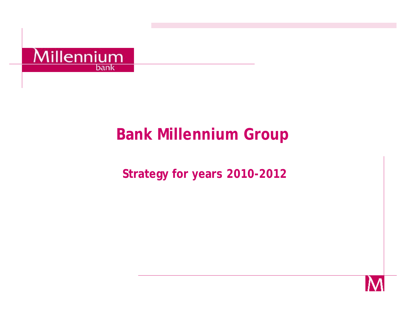

# **Bank Millennium Group**

## **Strategy for years 2010-2012**

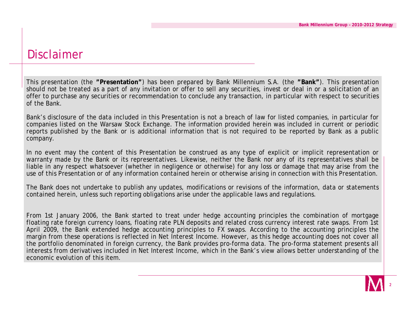#### Disclaimer

This presentation (the **"Presentation"**) has been prepared by Bank Millennium S.A. (the **"Bank"**). This presentation should not be treated as a part of any invitation or offer to sell any securities, invest or deal in or a solicitation of an offer to purchase any securities or recommendation to conclude any transaction, in particular with respect to securities of the Bank.

Bank's disclosure of the data included in this Presentation is not a breach of law for listed companies, in particular for companies listed on the Warsaw Stock Exchange. The information provided herein was included in current or periodic reports published by the Bank or is additional information that is not required to be reported by Bank as a public company.

In no event may the content of this Presentation be construed as any type of explicit or implicit representation or warranty made by the Bank or its representatives. Likewise, neither the Bank nor any of its representatives shall be liable in any respect whatsoever (whether in negligence or otherwise) for any loss or damage that may arise from the use of this Presentation or of any information contained herein or otherwise arising in connection with this Presentation.

The Bank does not undertake to publish any updates, modifications or revisions of the information, data or statements contained herein, unless such reporting obligations arise under the applicable laws and regulations.

From 1st January 2006, the Bank started to treat under hedge accounting principles the combination of mortgage floating rate foreign currency loans, floating rate PLN deposits and related cross currency interest rate swaps. From 1st April 2009, the Bank extended hedge accounting principles to FX swaps. According to the accounting principles the margin from these operations is reflected in Net Interest Income. However, as this hedge accounting does not cover all the portfolio denominated in foreign currency, the Bank provides pro-forma data. The pro-forma statement presents all interests from derivatives included in Net Interest Income, which in the Bank's view allows better understanding of the economic evolution of this item.

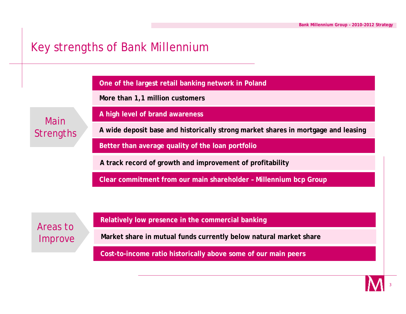#### Key strengths of Bank Millennium

**One of the largest retail banking network in Poland** 

**More than 1,1 million customers**

Main **Strengths**  **A high level of brand awareness**

**A wide deposit base and historically strong market shares in mortgage and leasing**

**Better than average quality of the loan portfolio**

**A track record of growth and improvement of profitability**

**Clear commitment from our main shareholder – Millennium bcp Group**

Areas to Improve **Relatively low presence in the commercial banking**

**Market share in mutual funds currently below natural market share**

**Cost-to-income ratio historically above some of our main peers**

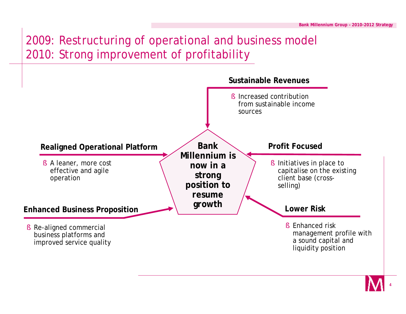## 2009: Restructuring of operational and business model 2010: Strong improvement of profitability



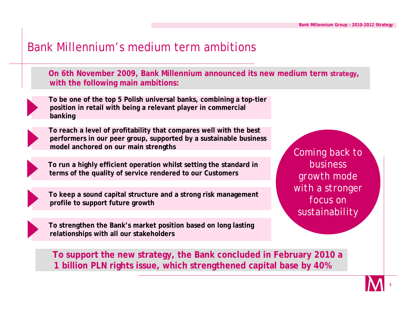#### Bank Millennium's medium term ambitions

**On 6th November 2009, Bank Millennium announced its new medium term strategy, with the following main ambitions:**



**To be one of the top 5 Polish universal banks, combining a top-tier position in retail with being a relevant player in commercial banking**



**To reach a level of profitability that compares well with the best performers in our peer group, supported by a sustainable business model anchored on our main strengths** 

**To run a highly efficient operation whilst setting the standard in terms of the quality of service rendered to our Customers**



**To keep a sound capital structure and a strong risk management profile to support future growth**

**To strengthen the Bank's market position based on long lasting relationships with all our stakeholders**

*Coming back to business growth mode with a stronger focus on sustainability*

**To support the new strategy, the Bank concluded in February 2010 a 1 billion PLN rights issue, which strengthened capital base by 40%**

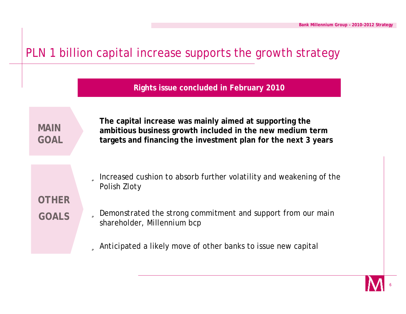#### PLN 1 billion capital increase supports the growth strategy

**Rights issue concluded in February 2010**

**MAIN GOAL** **The capital increase was mainly aimed at supporting the ambitious business growth included in the new medium term targets and financing the investment plan for the next 3 years** 

**OTHER GOALS**

ü Increased cushion to absorb further volatility and weakening of the Polish Zloty

ü Demonstrated the strong commitment and support from our main shareholder, Millennium bcp

ü Anticipated a likely move of other banks to issue new capital

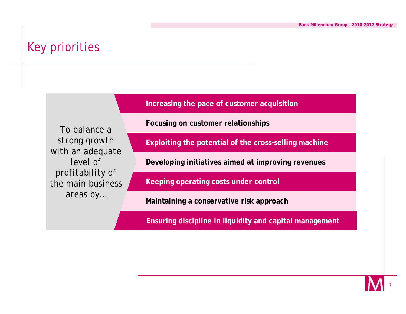#### Key priorities

**Increasing the pace of customer acquisition**

*To balance a strong growth with an adequate level of profitability of the main business areas by…*

**Focusing on customer relationships**

**Exploiting the potential of the cross-selling machine**

**Developing initiatives aimed at improving revenues**

**Keeping operating costs under control**

**Maintaining a conservative risk approach**

**Ensuring discipline in liquidity and capital management**

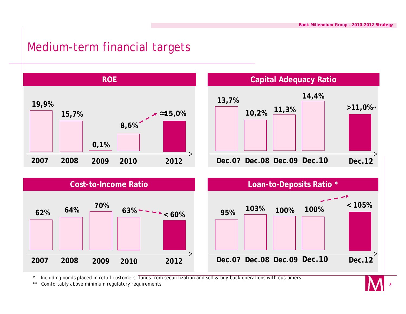### Medium-term financial targets



Including bonds placed in retail customers, funds from securitization and sell & buy-back operations with customers

\*\* Comfortably above minimum regulatory requirements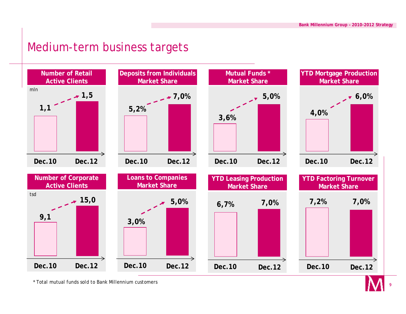#### Medium-term business targets



\* Total mutual funds sold to Bank Millennium customers